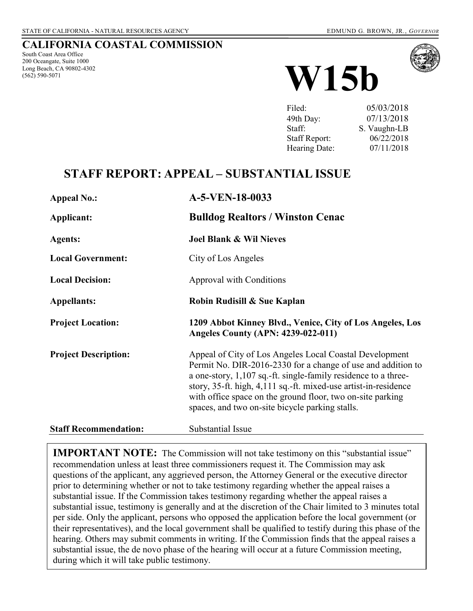### **CALIFORNIA COASTAL COMMISSION**

South Coast Area Office 200 Oceangate, Suite 1000 Long Beach, CA 90802-4302 (562) 590-5071



| Filed:               | 05/03/2018   |
|----------------------|--------------|
| 49th Day:            | 07/13/2018   |
| Staff:               | S. Vaughn-LB |
| <b>Staff Report:</b> | 06/22/2018   |
| Hearing Date:        | 07/11/2018   |

## **STAFF REPORT: APPEAL – SUBSTANTIAL ISSUE**

| <b>Appeal No.:</b>           | A-5-VEN-18-0033                                                                                                                                                                                                                                                                                                                                                               |  |
|------------------------------|-------------------------------------------------------------------------------------------------------------------------------------------------------------------------------------------------------------------------------------------------------------------------------------------------------------------------------------------------------------------------------|--|
| Applicant:                   | <b>Bulldog Realtors / Winston Cenac</b>                                                                                                                                                                                                                                                                                                                                       |  |
| <b>Agents:</b>               | <b>Joel Blank &amp; Wil Nieves</b>                                                                                                                                                                                                                                                                                                                                            |  |
| <b>Local Government:</b>     | City of Los Angeles                                                                                                                                                                                                                                                                                                                                                           |  |
| <b>Local Decision:</b>       | Approval with Conditions                                                                                                                                                                                                                                                                                                                                                      |  |
| <b>Appellants:</b>           | Robin Rudisill & Sue Kaplan                                                                                                                                                                                                                                                                                                                                                   |  |
| <b>Project Location:</b>     | 1209 Abbot Kinney Blvd., Venice, City of Los Angeles, Los<br><b>Angeles County (APN: 4239-022-011)</b>                                                                                                                                                                                                                                                                        |  |
| <b>Project Description:</b>  | Appeal of City of Los Angeles Local Coastal Development<br>Permit No. DIR-2016-2330 for a change of use and addition to<br>a one-story, 1,107 sq.-ft. single-family residence to a three-<br>story, 35-ft. high, 4,111 sq.-ft. mixed-use artist-in-residence<br>with office space on the ground floor, two on-site parking<br>spaces, and two on-site bicycle parking stalls. |  |
| <b>Staff Recommendation:</b> | Substantial Issue                                                                                                                                                                                                                                                                                                                                                             |  |

**IMPORTANT NOTE:** The Commission will not take testimony on this "substantial issue" recommendation unless at least three commissioners request it. The Commission may ask questions of the applicant, any aggrieved person, the Attorney General or the executive director prior to determining whether or not to take testimony regarding whether the appeal raises a substantial issue. If the Commission takes testimony regarding whether the appeal raises a substantial issue, testimony is generally and at the discretion of the Chair limited to 3 minutes total per side. Only the applicant, persons who opposed the application before the local government (or their representatives), and the local government shall be qualified to testify during this phase of the hearing. Others may submit comments in writing. If the Commission finds that the appeal raises a substantial issue, the de novo phase of the hearing will occur at a future Commission meeting, during which it will take public testimony.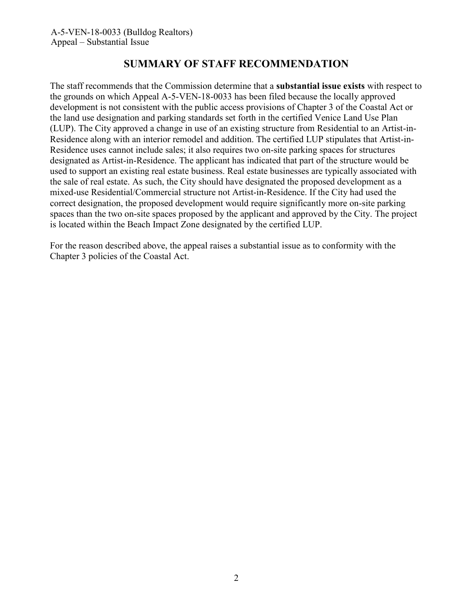## **SUMMARY OF STAFF RECOMMENDATION**

The staff recommends that the Commission determine that a **substantial issue exists** with respect to the grounds on which Appeal A-5-VEN-18-0033 has been filed because the locally approved development is not consistent with the public access provisions of Chapter 3 of the Coastal Act or the land use designation and parking standards set forth in the certified Venice Land Use Plan (LUP). The City approved a change in use of an existing structure from Residential to an Artist-in-Residence along with an interior remodel and addition. The certified LUP stipulates that Artist-in-Residence uses cannot include sales; it also requires two on-site parking spaces for structures designated as Artist-in-Residence. The applicant has indicated that part of the structure would be used to support an existing real estate business. Real estate businesses are typically associated with the sale of real estate. As such, the City should have designated the proposed development as a mixed-use Residential/Commercial structure not Artist-in-Residence. If the City had used the correct designation, the proposed development would require significantly more on-site parking spaces than the two on-site spaces proposed by the applicant and approved by the City. The project is located within the Beach Impact Zone designated by the certified LUP.

For the reason described above, the appeal raises a substantial issue as to conformity with the Chapter 3 policies of the Coastal Act.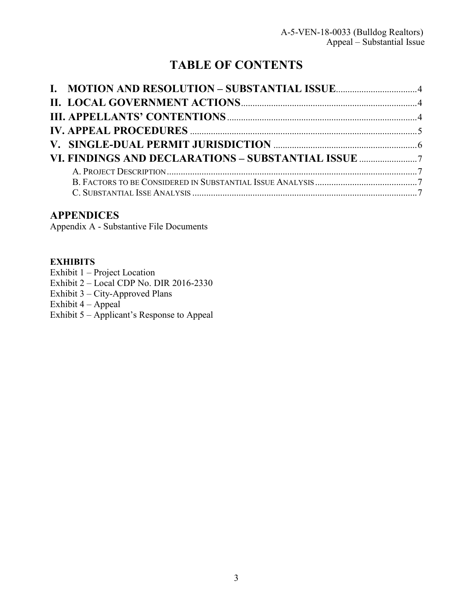# **TABLE OF CONTENTS**

<span id="page-2-0"></span>

## **APPENDICES**

Appendix A - Substantive File Documents

### **[EXHIBITS](https://documents.coastal.ca.gov/reports/2017/8/w12a/w12a-8-2017-exhibits.pdf)**

Exhibit 1 – [Project Location](https://documents.coastal.ca.gov/reports/2017/8/w12a/w12a-8-2017-exhibits.pdf) [Exhibit 2 – Local CDP No. D](https://documents.coastal.ca.gov/reports/2017/8/w12a/w12a-8-2017-exhibits.pdf)IR 2016-2330 Exhibit 3 – [City-Approved](https://documents.coastal.ca.gov/reports/2017/8/w12a/w12a-8-2017-exhibits.pdf) Plans [Exhibit 4 –](https://documents.coastal.ca.gov/reports/2017/8/w12a/w12a-8-2017-exhibits.pdf) Appeal Exhibit 5 – Applicant's Response to Appeal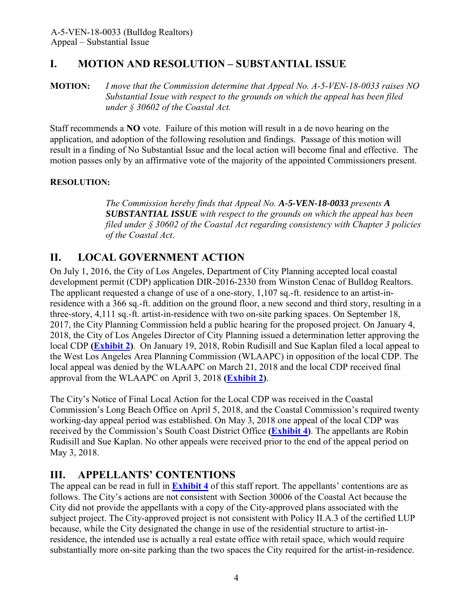## **I. MOTION AND RESOLUTION – SUBSTANTIAL ISSUE**

**MOTION:** *I move that the Commission determine that Appeal No. A-5-VEN-18-0033 raises NO Substantial Issue with respect to the grounds on which the appeal has been filed under § 30602 of the Coastal Act.*

Staff recommends a **NO** vote. Failure of this motion will result in a de novo hearing on the application, and adoption of the following resolution and findings. Passage of this motion will result in a finding of No Substantial Issue and the local action will become final and effective. The motion passes only by an affirmative vote of the majority of the appointed Commissioners present.

### **RESOLUTION:**

*The Commission hereby finds that Appeal No. A-5-VEN-18-0033 presents A SUBSTANTIAL ISSUE with respect to the grounds on which the appeal has been filed under § 30602 of the Coastal Act regarding consistency with Chapter 3 policies of the Coastal Act*.

## <span id="page-3-0"></span>**II. LOCAL GOVERNMENT ACTION**

On July 1, 2016, the City of Los Angeles, Department of City Planning accepted local coastal development permit (CDP) application DIR-2016-2330 from Winston Cenac of Bulldog Realtors. The applicant requested a change of use of a one-story, 1,107 sq.-ft. residence to an artist-inresidence with a 366 sq.-ft. addition on the ground floor, a new second and third story, resulting in a three-story, 4,111 sq.-ft. artist-in-residence with two on-site parking spaces. On September 18, 2017, the City Planning Commission held a public hearing for the proposed project. On January 4, 2018, the City of Los Angeles Director of City Planning issued a determination letter approving the local CDP **[\(Exhibit 2\)](https://documents.coastal.ca.gov/reports/2017/7/W15b/W15b-7-2017-exhibits.pdf)**. On January 19, 2018, Robin Rudisill and Sue Kaplan filed a local appeal to the West Los Angeles Area Planning Commission (WLAAPC) in opposition of the local CDP. The local appeal was denied by the WLAAPC on March 21, 2018 and the local CDP received final approval from the WLAAPC on April 3, 2018 **[\(Exhibit 2\)](https://documents.coastal.ca.gov/reports/2017/7/W15b/W15b-7-2017-exhibits.pdf)**.

The City's Notice of Final Local Action for the Local CDP was received in the Coastal Commission's Long Beach Office on April 5, 2018, and the Coastal Commission's required twenty working-day appeal period was established. On May 3, 2018 one appeal of the local CDP was received by the Commission's South Coast District Office **[\(Exhibit 4\)](https://documents.coastal.ca.gov/reports/2017/7/W15b/W15b-7-2017-exhibits.pdf)**. The appellants are Robin Rudisill and Sue Kaplan. No other appeals were received prior to the end of the appeal period on May 3, 2018.

## <span id="page-3-1"></span>**III. APPELLANTS' CONTENTIONS**

The appeal can be read in full in **[Exhibit 4](https://documents.coastal.ca.gov/reports/2017/7/W15b/W15b-7-2017-exhibits.pdf)** of this staff report. The appellants' contentions are as follows. The City's actions are not consistent with Section 30006 of the Coastal Act because the City did not provide the appellants with a copy of the City-approved plans associated with the subject project. The City-approved project is not consistent with Policy II.A.3 of the certified LUP because, while the City designated the change in use of the residential structure to artist-inresidence, the intended use is actually a real estate office with retail space, which would require substantially more on-site parking than the two spaces the City required for the artist-in-residence.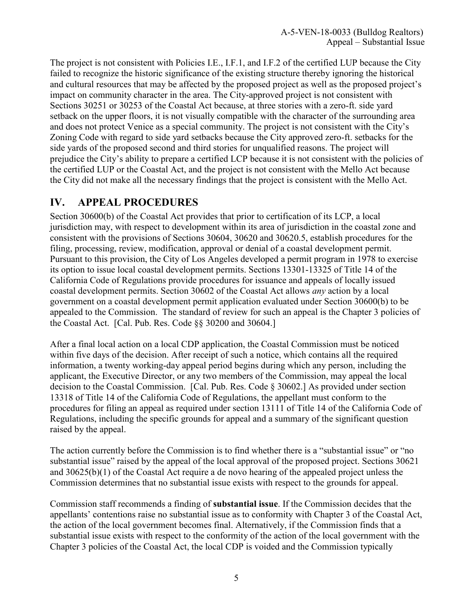The project is not consistent with Policies I.E., I.F.1, and I.F.2 of the certified LUP because the City failed to recognize the historic significance of the existing structure thereby ignoring the historical and cultural resources that may be affected by the proposed project as well as the proposed project's impact on community character in the area. The City-approved project is not consistent with Sections 30251 or 30253 of the Coastal Act because, at three stories with a zero-ft. side yard setback on the upper floors, it is not visually compatible with the character of the surrounding area and does not protect Venice as a special community. The project is not consistent with the City's Zoning Code with regard to side yard setbacks because the City approved zero-ft. setbacks for the side yards of the proposed second and third stories for unqualified reasons. The project will prejudice the City's ability to prepare a certified LCP because it is not consistent with the policies of the certified LUP or the Coastal Act, and the project is not consistent with the Mello Act because the City did not make all the necessary findings that the project is consistent with the Mello Act.

## <span id="page-4-0"></span>**IV. APPEAL PROCEDURES**

Section 30600(b) of the Coastal Act provides that prior to certification of its LCP, a local jurisdiction may, with respect to development within its area of jurisdiction in the coastal zone and consistent with the provisions of Sections 30604, 30620 and 30620.5, establish procedures for the filing, processing, review, modification, approval or denial of a coastal development permit. Pursuant to this provision, the City of Los Angeles developed a permit program in 1978 to exercise its option to issue local coastal development permits. Sections 13301-13325 of Title 14 of the California Code of Regulations provide procedures for issuance and appeals of locally issued coastal development permits. Section 30602 of the Coastal Act allows *any* action by a local government on a coastal development permit application evaluated under Section 30600(b) to be appealed to the Commission. The standard of review for such an appeal is the Chapter 3 policies of the Coastal Act. [Cal. Pub. Res. Code §§ 30200 and 30604.]

After a final local action on a local CDP application, the Coastal Commission must be noticed within five days of the decision. After receipt of such a notice, which contains all the required information, a twenty working-day appeal period begins during which any person, including the applicant, the Executive Director, or any two members of the Commission, may appeal the local decision to the Coastal Commission. [Cal. Pub. Res. Code § 30602.] As provided under section 13318 of Title 14 of the California Code of Regulations, the appellant must conform to the procedures for filing an appeal as required under section 13111 of Title 14 of the California Code of Regulations, including the specific grounds for appeal and a summary of the significant question raised by the appeal.

The action currently before the Commission is to find whether there is a "substantial issue" or "no substantial issue" raised by the appeal of the local approval of the proposed project. Sections 30621 and 30625(b)(1) of the Coastal Act require a de novo hearing of the appealed project unless the Commission determines that no substantial issue exists with respect to the grounds for appeal.

Commission staff recommends a finding of **substantial issue**. If the Commission decides that the appellants' contentions raise no substantial issue as to conformity with Chapter 3 of the Coastal Act, the action of the local government becomes final. Alternatively, if the Commission finds that a substantial issue exists with respect to the conformity of the action of the local government with the Chapter 3 policies of the Coastal Act, the local CDP is voided and the Commission typically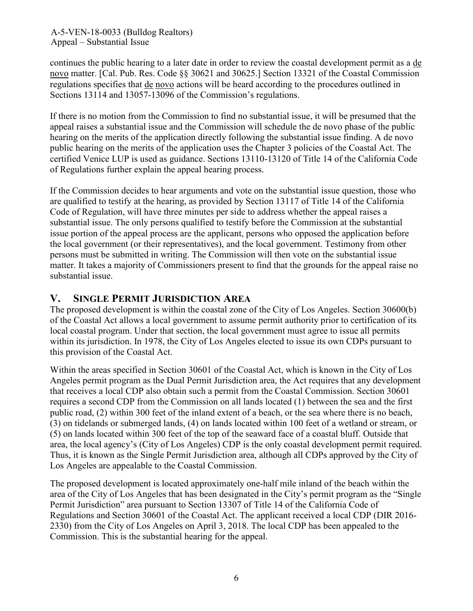continues the public hearing to a later date in order to review the coastal development permit as a de novo matter. [Cal. Pub. Res. Code §§ 30621 and 30625.] Section 13321 of the Coastal Commission regulations specifies that de novo actions will be heard according to the procedures outlined in Sections 13114 and 13057-13096 of the Commission's regulations.

If there is no motion from the Commission to find no substantial issue, it will be presumed that the appeal raises a substantial issue and the Commission will schedule the de novo phase of the public hearing on the merits of the application directly following the substantial issue finding. A de novo public hearing on the merits of the application uses the Chapter 3 policies of the Coastal Act. The certified Venice LUP is used as guidance. Sections 13110-13120 of Title 14 of the California Code of Regulations further explain the appeal hearing process.

If the Commission decides to hear arguments and vote on the substantial issue question, those who are qualified to testify at the hearing, as provided by Section 13117 of Title 14 of the California Code of Regulation, will have three minutes per side to address whether the appeal raises a substantial issue. The only persons qualified to testify before the Commission at the substantial issue portion of the appeal process are the applicant, persons who opposed the application before the local government (or their representatives), and the local government. Testimony from other persons must be submitted in writing. The Commission will then vote on the substantial issue matter. It takes a majority of Commissioners present to find that the grounds for the appeal raise no substantial issue.

### **V. SINGLE PERMIT JURISDICTION AREA**

The proposed development is within the coastal zone of the City of Los Angeles. Section 30600(b) of the Coastal Act allows a local government to assume permit authority prior to certification of its local coastal program. Under that section, the local government must agree to issue all permits within its jurisdiction. In 1978, the City of Los Angeles elected to issue its own CDPs pursuant to this provision of the Coastal Act.

Within the areas specified in Section 30601 of the Coastal Act, which is known in the City of Los Angeles permit program as the Dual Permit Jurisdiction area, the Act requires that any development that receives a local CDP also obtain such a permit from the Coastal Commission. Section 30601 requires a second CDP from the Commission on all lands located (1) between the sea and the first public road, (2) within 300 feet of the inland extent of a beach, or the sea where there is no beach, (3) on tidelands or submerged lands, (4) on lands located within 100 feet of a wetland or stream, or (5) on lands located within 300 feet of the top of the seaward face of a coastal bluff. Outside that area, the local agency's (City of Los Angeles) CDP is the only coastal development permit required. Thus, it is known as the Single Permit Jurisdiction area, although all CDPs approved by the City of Los Angeles are appealable to the Coastal Commission.

The proposed development is located approximately one-half mile inland of the beach within the area of the City of Los Angeles that has been designated in the City's permit program as the "Single Permit Jurisdiction" area pursuant to Section 13307 of Title 14 of the California Code of Regulations and Section 30601 of the Coastal Act. The applicant received a local CDP (DIR 2016- 2330) from the City of Los Angeles on April 3, 2018. The local CDP has been appealed to the Commission. This is the substantial hearing for the appeal.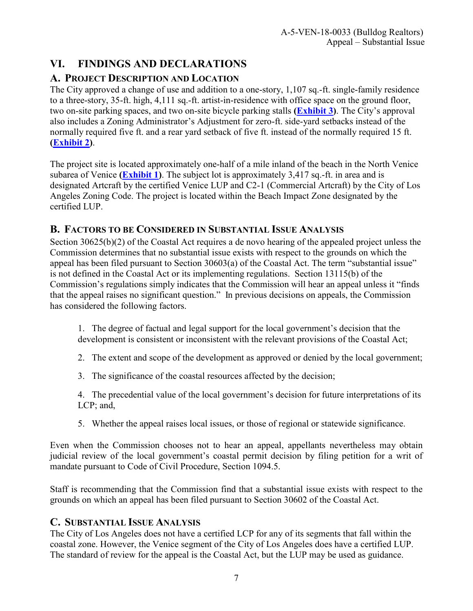## <span id="page-6-0"></span>**VI. FINDINGS AND DECLARATIONS**

## <span id="page-6-1"></span>**A. PROJECT DESCRIPTION AND LOCATION**

The City approved a change of use and addition to a one-story, 1,107 sq.-ft. single-family residence to a three-story, 35-ft. high, 4,111 sq.-ft. artist-in-residence with office space on the ground floor, two on-site parking spaces, and two on-site bicycle parking stalls **[\(Exhibit 3\)](https://documents.coastal.ca.gov/reports/2017/7/W15b/W15b-7-2017-exhibits.pdf)**. The City's approval also includes a Zoning Administrator's Adjustment for zero-ft. side-yard setbacks instead of the normally required five ft. and a rear yard setback of five ft. instead of the normally required 15 ft. **[\(Exhibit 2\)](https://documents.coastal.ca.gov/reports/2017/7/W15b/W15b-7-2017-exhibits.pdf)**.

The project site is located approximately one-half of a mile inland of the beach in the North Venice subarea of Venice **[\(Exhibit 1\)](https://documents.coastal.ca.gov/reports/2017/7/W15b/W15b-7-2017-exhibits.pdf)**. The subject lot is approximately 3,417 sq.-ft. in area and is designated Artcraft by the certified Venice LUP and C2-1 (Commercial Artcraft) by the City of Los Angeles Zoning Code. The project is located within the Beach Impact Zone designated by the certified LUP.

## <span id="page-6-2"></span>**B. FACTORS TO BE CONSIDERED IN SUBSTANTIAL ISSUE ANALYSIS**

Section 30625(b)(2) of the Coastal Act requires a de novo hearing of the appealed project unless the Commission determines that no substantial issue exists with respect to the grounds on which the appeal has been filed pursuant to Section 30603(a) of the Coastal Act. The term "substantial issue" is not defined in the Coastal Act or its implementing regulations. Section 13115(b) of the Commission's regulations simply indicates that the Commission will hear an appeal unless it "finds that the appeal raises no significant question." In previous decisions on appeals, the Commission has considered the following factors.

- 1. The degree of factual and legal support for the local government's decision that the development is consistent or inconsistent with the relevant provisions of the Coastal Act;
- 2. The extent and scope of the development as approved or denied by the local government;
- 3. The significance of the coastal resources affected by the decision;
- 4. The precedential value of the local government's decision for future interpretations of its LCP; and,
- 5. Whether the appeal raises local issues, or those of regional or statewide significance.

Even when the Commission chooses not to hear an appeal, appellants nevertheless may obtain judicial review of the local government's coastal permit decision by filing petition for a writ of mandate pursuant to Code of Civil Procedure, Section 1094.5.

Staff is recommending that the Commission find that a substantial issue exists with respect to the grounds on which an appeal has been filed pursuant to Section 30602 of the Coastal Act.

### <span id="page-6-3"></span>**C. SUBSTANTIAL ISSUE ANALYSIS**

The City of Los Angeles does not have a certified LCP for any of its segments that fall within the coastal zone. However, the Venice segment of the City of Los Angeles does have a certified LUP. The standard of review for the appeal is the Coastal Act, but the LUP may be used as guidance.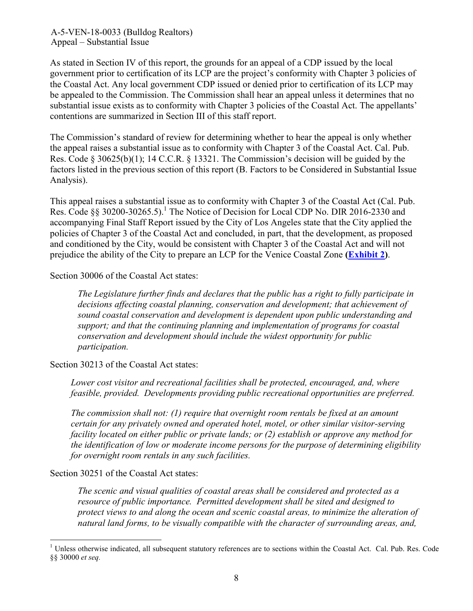As stated in Section IV of this report, the grounds for an appeal of a CDP issued by the local government prior to certification of its LCP are the project's conformity with Chapter 3 policies of the Coastal Act. Any local government CDP issued or denied prior to certification of its LCP may be appealed to the Commission. The Commission shall hear an appeal unless it determines that no substantial issue exists as to conformity with Chapter 3 policies of the Coastal Act. The appellants' contentions are summarized in Section III of this staff report.

The Commission's standard of review for determining whether to hear the appeal is only whether the appeal raises a substantial issue as to conformity with Chapter 3 of the Coastal Act. Cal. Pub. Res. Code § 30625(b)(1); 14 C.C.R. § 13321. The Commission's decision will be guided by the factors listed in the previous section of this report (B. Factors to be Considered in Substantial Issue Analysis).

This appeal raises a substantial issue as to conformity with Chapter 3 of the Coastal Act (Cal. Pub. Res. Code §§ 30200-30265.5).<sup>1</sup> The Notice of Decision for Local CDP No. DIR 2016-2330 and accompanying Final Staff Report issued by the City of Los Angeles state that the City applied the policies of Chapter 3 of the Coastal Act and concluded, in part, that the development, as proposed and conditioned by the City, would be consistent with Chapter 3 of the Coastal Act and will not prejudice the ability of the City to prepare an LCP for the Venice Coastal Zone **[\(Exhibit 2\)](https://documents.coastal.ca.gov/reports/2017/7/W15b/W15b-7-2017-exhibits.pdf)**.

Section 30006 of the Coastal Act states:

*The Legislature further finds and declares that the public has a right to fully participate in decisions affecting coastal planning, conservation and development; that achievement of sound coastal conservation and development is dependent upon public understanding and support; and that the continuing planning and implementation of programs for coastal conservation and development should include the widest opportunity for public participation.* 

Section 30213 of the Coastal Act states:

*Lower cost visitor and recreational facilities shall be protected, encouraged, and, where feasible, provided. Developments providing public recreational opportunities are preferred.* 

*The commission shall not: (1) require that overnight room rentals be fixed at an amount certain for any privately owned and operated hotel, motel, or other similar visitor-serving facility located on either public or private lands; or (2) establish or approve any method for the identification of low or moderate income persons for the purpose of determining eligibility for overnight room rentals in any such facilities.* 

Section 30251 of the Coastal Act states:

 $\overline{a}$ 

*The scenic and visual qualities of coastal areas shall be considered and protected as a resource of public importance. Permitted development shall be sited and designed to protect views to and along the ocean and scenic coastal areas, to minimize the alteration of natural land forms, to be visually compatible with the character of surrounding areas, and,* 

<sup>&</sup>lt;sup>1</sup> Unless otherwise indicated, all subsequent statutory references are to sections within the Coastal Act. Cal. Pub. Res. Code §§ 30000 *et seq.*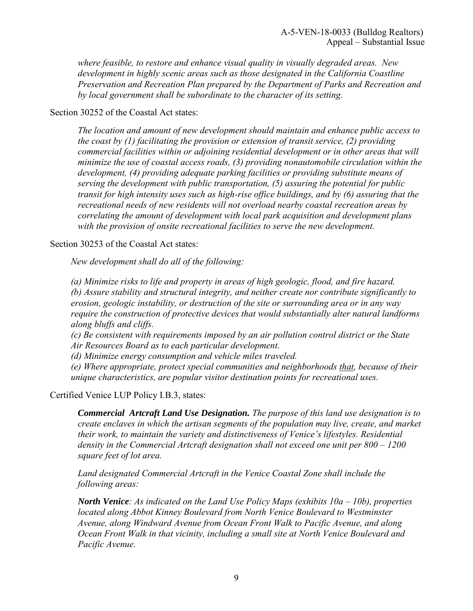*where feasible, to restore and enhance visual quality in visually degraded areas. New development in highly scenic areas such as those designated in the California Coastline Preservation and Recreation Plan prepared by the Department of Parks and Recreation and by local government shall be subordinate to the character of its setting.* 

Section 30252 of the Coastal Act states:

*The location and amount of new development should maintain and enhance public access to the coast by (1) facilitating the provision or extension of transit service, (2) providing commercial facilities within or adjoining residential development or in other areas that will minimize the use of coastal access roads, (3) providing nonautomobile circulation within the development, (4) providing adequate parking facilities or providing substitute means of serving the development with public transportation, (5) assuring the potential for public transit for high intensity uses such as high-rise office buildings, and by (6) assuring that the recreational needs of new residents will not overload nearby coastal recreation areas by correlating the amount of development with local park acquisition and development plans with the provision of onsite recreational facilities to serve the new development.* 

Section 30253 of the Coastal Act states:

*New development shall do all of the following:* 

 *(a) Minimize risks to life and property in areas of high geologic, flood, and fire hazard. (b) Assure stability and structural integrity, and neither create nor contribute significantly to erosion, geologic instability, or destruction of the site or surrounding area or in any way require the construction of protective devices that would substantially alter natural landforms along bluffs and cliffs.* 

*(c) Be consistent with requirements imposed by an air pollution control district or the State Air Resources Board as to each particular development.* 

 *(d) Minimize energy consumption and vehicle miles traveled.* 

*(e) Where appropriate, protect special communities and neighborhoods that, because of their unique characteristics, are popular visitor destination points for recreational uses.* 

Certified Venice LUP Policy I.B.3, states:

*Commercial Artcraft Land Use Designation. The purpose of this land use designation is to create enclaves in which the artisan segments of the population may live, create, and market their work, to maintain the variety and distinctiveness of Venice's lifestyles. Residential density in the Commercial Artcraft designation shall not exceed one unit per 800 – 1200 square feet of lot area.* 

*Land designated Commercial Artcraft in the Venice Coastal Zone shall include the following areas:* 

*North Venice: As indicated on the Land Use Policy Maps (exhibits 10a – 10b), properties located along Abbot Kinney Boulevard from North Venice Boulevard to Westminster Avenue, along Windward Avenue from Ocean Front Walk to Pacific Avenue, and along Ocean Front Walk in that vicinity, including a small site at North Venice Boulevard and Pacific Avenue.*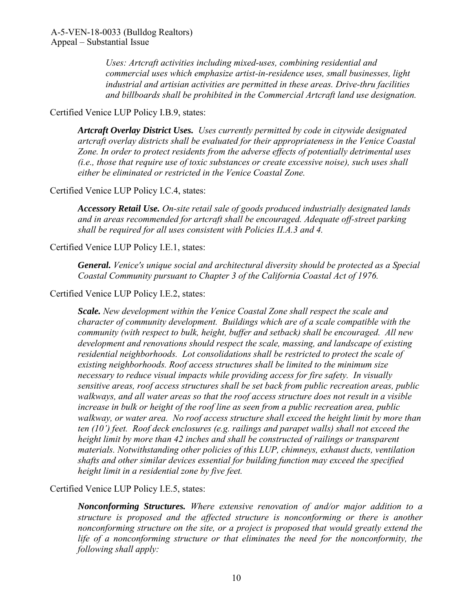*Uses: Artcraft activities including mixed-uses, combining residential and commercial uses which emphasize artist-in-residence uses, small businesses, light industrial and artisian activities are permitted in these areas. Drive-thru facilities and billboards shall be prohibited in the Commercial Artcraft land use designation.* 

### Certified Venice LUP Policy I.B.9, states:

*Artcraft Overlay District Uses. Uses currently permitted by code in citywide designated artcraft overlay districts shall be evaluated for their appropriateness in the Venice Coastal Zone. In order to protect residents from the adverse effects of potentially detrimental uses (i.e., those that require use of toxic substances or create excessive noise), such uses shall either be eliminated or restricted in the Venice Coastal Zone.* 

### Certified Venice LUP Policy I.C.4, states:

*Accessory Retail Use. On-site retail sale of goods produced industrially designated lands and in areas recommended for artcraft shall be encouraged. Adequate off-street parking shall be required for all uses consistent with Policies II.A.3 and 4.* 

### Certified Venice LUP Policy I.E.1, states:

*General. Venice's unique social and architectural diversity should be protected as a Special Coastal Community pursuant to Chapter 3 of the California Coastal Act of 1976.* 

### Certified Venice LUP Policy I.E.2, states:

*Scale. New development within the Venice Coastal Zone shall respect the scale and character of community development. Buildings which are of a scale compatible with the community (with respect to bulk, height, buffer and setback) shall be encouraged. All new development and renovations should respect the scale, massing, and landscape of existing residential neighborhoods. Lot consolidations shall be restricted to protect the scale of existing neighborhoods. Roof access structures shall be limited to the minimum size necessary to reduce visual impacts while providing access for fire safety. In visually sensitive areas, roof access structures shall be set back from public recreation areas, public walkways, and all water areas so that the roof access structure does not result in a visible increase in bulk or height of the roof line as seen from a public recreation area, public walkway, or water area. No roof access structure shall exceed the height limit by more than ten (10') feet. Roof deck enclosures (e.g. railings and parapet walls) shall not exceed the height limit by more than 42 inches and shall be constructed of railings or transparent materials. Notwithstanding other policies of this LUP, chimneys, exhaust ducts, ventilation shafts and other similar devices essential for building function may exceed the specified height limit in a residential zone by five feet.* 

Certified Venice LUP Policy I.E.5, states:

*Nonconforming Structures. Where extensive renovation of and/or major addition to a structure is proposed and the affected structure is nonconforming or there is another nonconforming structure on the site, or a project is proposed that would greatly extend the life of a nonconforming structure or that eliminates the need for the nonconformity, the following shall apply:*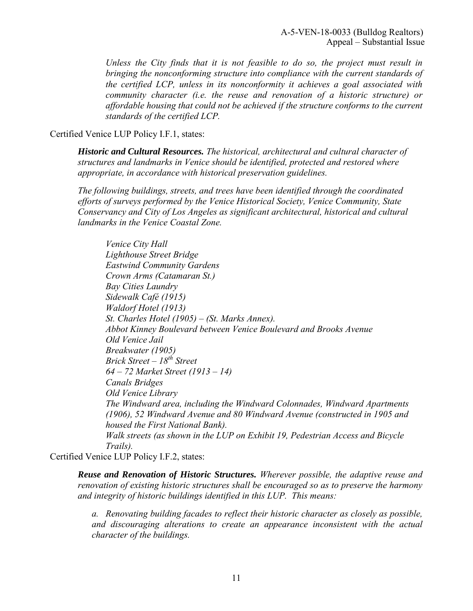*Unless the City finds that it is not feasible to do so, the project must result in bringing the nonconforming structure into compliance with the current standards of the certified LCP, unless in its nonconformity it achieves a goal associated with community character (i.e. the reuse and renovation of a historic structure) or affordable housing that could not be achieved if the structure conforms to the current standards of the certified LCP.* 

### Certified Venice LUP Policy I.F.1, states:

*Historic and Cultural Resources. The historical, architectural and cultural character of structures and landmarks in Venice should be identified, protected and restored where appropriate, in accordance with historical preservation guidelines.* 

*The following buildings, streets, and trees have been identified through the coordinated efforts of surveys performed by the Venice Historical Society, Venice Community, State Conservancy and City of Los Angeles as significant architectural, historical and cultural landmarks in the Venice Coastal Zone.* 

 *Venice City Hall Lighthouse Street Bridge Eastwind Community Gardens Crown Arms (Catamaran St.) Bay Cities Laundry Sidewalk Café (1915) Waldorf Hotel (1913) St. Charles Hotel (1905) – (St. Marks Annex). Abbot Kinney Boulevard between Venice Boulevard and Brooks Avenue Old Venice Jail Breakwater (1905) Brick Street – 18th Street 64 – 72 Market Street (1913 – 14) Canals Bridges Old Venice Library The Windward area, including the Windward Colonnades, Windward Apartments (1906), 52 Windward Avenue and 80 Windward Avenue (constructed in 1905 and housed the First National Bank). Walk streets (as shown in the LUP on Exhibit 19, Pedestrian Access and Bicycle Trails).* 

Certified Venice LUP Policy I.F.2, states:

*Reuse and Renovation of Historic Structures. Wherever possible, the adaptive reuse and renovation of existing historic structures shall be encouraged so as to preserve the harmony and integrity of historic buildings identified in this LUP. This means:* 

 *a. Renovating building facades to reflect their historic character as closely as possible, and discouraging alterations to create an appearance inconsistent with the actual character of the buildings.*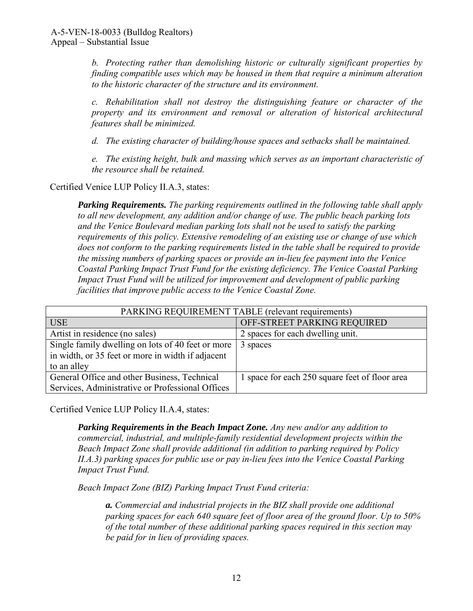*b. Protecting rather than demolishing historic or culturally significant properties by finding compatible uses which may be housed in them that require a minimum alteration to the historic character of the structure and its environment.* 

*c. Rehabilitation shall not destroy the distinguishing feature or character of the property and its environment and removal or alteration of historical architectural features shall be minimized.* 

 *d. The existing character of building/house spaces and setbacks shall be maintained.* 

*e. The existing height, bulk and massing which serves as an important characteristic of the resource shall be retained.* 

Certified Venice LUP Policy II.A.3, states:

*Parking Requirements. The parking requirements outlined in the following table shall apply to all new development, any addition and/or change of use. The public beach parking lots and the Venice Boulevard median parking lots shall not be used to satisfy the parking requirements of this policy. Extensive remodeling of an existing use or change of use which does not conform to the parking requirements listed in the table shall be required to provide the missing numbers of parking spaces or provide an in-lieu fee payment into the Venice Coastal Parking Impact Trust Fund for the existing deficiency. The Venice Coastal Parking Impact Trust Fund will be utilized for improvement and development of public parking facilities that improve public access to the Venice Coastal Zone.* 

| PARKING REQUIREMENT TABLE (relevant requirements) |                                                |  |
|---------------------------------------------------|------------------------------------------------|--|
| <b>USE</b>                                        | OFF-STREET PARKING REQUIRED                    |  |
| Artist in residence (no sales)                    | 2 spaces for each dwelling unit.               |  |
| Single family dwelling on lots of 40 feet or more | 3 spaces                                       |  |
| in width, or 35 feet or more in width if adjacent |                                                |  |
| to an alley                                       |                                                |  |
| General Office and other Business, Technical      | 1 space for each 250 square feet of floor area |  |
| Services, Administrative or Professional Offices  |                                                |  |

Certified Venice LUP Policy II.A.4, states:

*Parking Requirements in the Beach Impact Zone. Any new and/or any addition to commercial, industrial, and multiple-family residential development projects within the Beach Impact Zone shall provide additional (in addition to parking required by Policy II.A.3) parking spaces for public use or pay in-lieu fees into the Venice Coastal Parking Impact Trust Fund.* 

*Beach Impact Zone (BIZ) Parking Impact Trust Fund criteria:* 

*a. Commercial and industrial projects in the BIZ shall provide one additional parking spaces for each 640 square feet of floor area of the ground floor. Up to 50% of the total number of these additional parking spaces required in this section may be paid for in lieu of providing spaces.*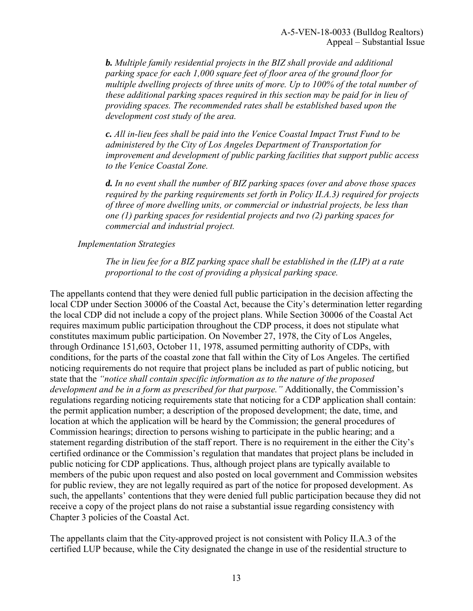*b. Multiple family residential projects in the BIZ shall provide and additional parking space for each 1,000 square feet of floor area of the ground floor for multiple dwelling projects of three units of more. Up to 100% of the total number of these additional parking spaces required in this section may be paid for in lieu of providing spaces. The recommended rates shall be established based upon the development cost study of the area.* 

*c. All in-lieu fees shall be paid into the Venice Coastal Impact Trust Fund to be administered by the City of Los Angeles Department of Transportation for improvement and development of public parking facilities that support public access to the Venice Coastal Zone.* 

*d. In no event shall the number of BIZ parking spaces (over and above those spaces required by the parking requirements set forth in Policy II.A.3) required for projects of three of more dwelling units, or commercial or industrial projects, be less than one (1) parking spaces for residential projects and two (2) parking spaces for commercial and industrial project.* 

#### *Implementation Strategies*

*The in lieu fee for a BIZ parking space shall be established in the (LIP) at a rate proportional to the cost of providing a physical parking space.* 

The appellants contend that they were denied full public participation in the decision affecting the local CDP under Section 30006 of the Coastal Act, because the City's determination letter regarding the local CDP did not include a copy of the project plans. While Section 30006 of the Coastal Act requires maximum public participation throughout the CDP process, it does not stipulate what constitutes maximum public participation. On November 27, 1978, the City of Los Angeles, through Ordinance 151,603, October 11, 1978, assumed permitting authority of CDPs, with conditions, for the parts of the coastal zone that fall within the City of Los Angeles. The certified noticing requirements do not require that project plans be included as part of public noticing, but state that the *"notice shall contain specific information as to the nature of the proposed development and be in a form as prescribed for that purpose."* Additionally, the Commission's regulations regarding noticing requirements state that noticing for a CDP application shall contain: the permit application number; a description of the proposed development; the date, time, and location at which the application will be heard by the Commission; the general procedures of Commission hearings; direction to persons wishing to participate in the public hearing; and a statement regarding distribution of the staff report. There is no requirement in the either the City's certified ordinance or the Commission's regulation that mandates that project plans be included in public noticing for CDP applications. Thus, although project plans are typically available to members of the pubic upon request and also posted on local government and Commission websites for public review, they are not legally required as part of the notice for proposed development. As such, the appellants' contentions that they were denied full public participation because they did not receive a copy of the project plans do not raise a substantial issue regarding consistency with Chapter 3 policies of the Coastal Act.

The appellants claim that the City-approved project is not consistent with Policy II.A.3 of the certified LUP because, while the City designated the change in use of the residential structure to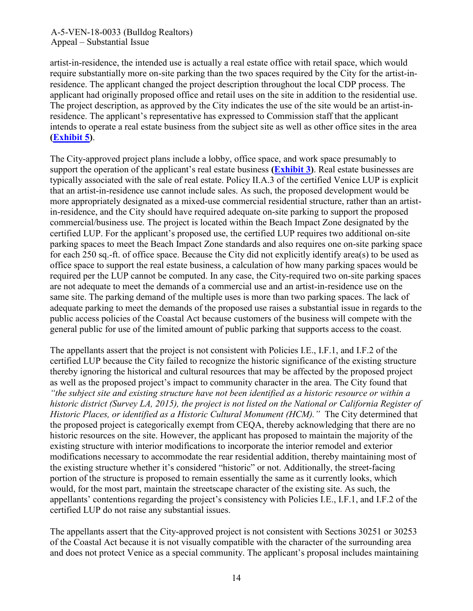artist-in-residence, the intended use is actually a real estate office with retail space, which would require substantially more on-site parking than the two spaces required by the City for the artist-inresidence. The applicant changed the project description throughout the local CDP process. The applicant had originally proposed office and retail uses on the site in addition to the residential use. The project description, as approved by the City indicates the use of the site would be an artist-inresidence. The applicant's representative has expressed to Commission staff that the applicant intends to operate a real estate business from the subject site as well as other office sites in the area **[\(Exhibit 5\)](https://documents.coastal.ca.gov/reports/2017/7/W15b/W15b-7-2017-exhibits.pdf)**.

The City-approved project plans include a lobby, office space, and work space presumably to support the operation of the applicant's real estate business **[\(Exhibit 3\)](https://documents.coastal.ca.gov/reports/2017/7/W15b/W15b-7-2017-exhibits.pdf)**. Real estate businesses are typically associated with the sale of real estate. Policy II.A.3 of the certified Venice LUP is explicit that an artist-in-residence use cannot include sales. As such, the proposed development would be more appropriately designated as a mixed-use commercial residential structure, rather than an artistin-residence, and the City should have required adequate on-site parking to support the proposed commercial/business use. The project is located within the Beach Impact Zone designated by the certified LUP. For the applicant's proposed use, the certified LUP requires two additional on-site parking spaces to meet the Beach Impact Zone standards and also requires one on-site parking space for each 250 sq.-ft. of office space. Because the City did not explicitly identify area(s) to be used as office space to support the real estate business, a calculation of how many parking spaces would be required per the LUP cannot be computed. In any case, the City-required two on-site parking spaces are not adequate to meet the demands of a commercial use and an artist-in-residence use on the same site. The parking demand of the multiple uses is more than two parking spaces. The lack of adequate parking to meet the demands of the proposed use raises a substantial issue in regards to the public access policies of the Coastal Act because customers of the business will compete with the general public for use of the limited amount of public parking that supports access to the coast.

The appellants assert that the project is not consistent with Policies I.E., I.F.1, and I.F.2 of the certified LUP because the City failed to recognize the historic significance of the existing structure thereby ignoring the historical and cultural resources that may be affected by the proposed project as well as the proposed project's impact to community character in the area. The City found that *"the subject site and existing structure have not been identified as a historic resource or within a historic district (Survey LA, 2015), the project is not listed on the National or California Register of Historic Places, or identified as a Historic Cultural Monument (HCM)."* The City determined that the proposed project is categorically exempt from CEQA, thereby acknowledging that there are no historic resources on the site. However, the applicant has proposed to maintain the majority of the existing structure with interior modifications to incorporate the interior remodel and exterior modifications necessary to accommodate the rear residential addition, thereby maintaining most of the existing structure whether it's considered "historic" or not. Additionally, the street-facing portion of the structure is proposed to remain essentially the same as it currently looks, which would, for the most part, maintain the streetscape character of the existing site. As such, the appellants' contentions regarding the project's consistency with Policies I.E., I.F.1, and I.F.2 of the certified LUP do not raise any substantial issues.

The appellants assert that the City-approved project is not consistent with Sections 30251 or 30253 of the Coastal Act because it is not visually compatible with the character of the surrounding area and does not protect Venice as a special community. The applicant's proposal includes maintaining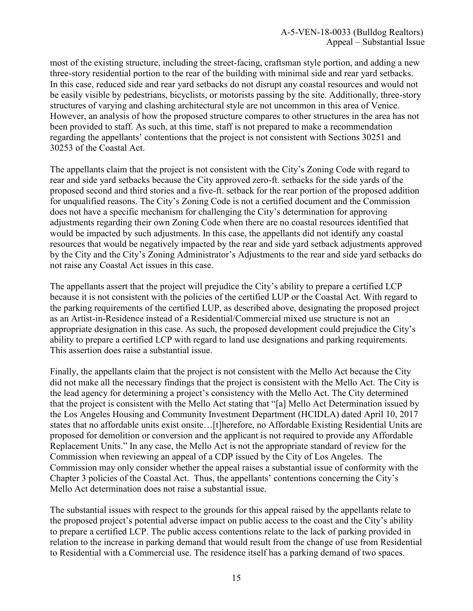most of the existing structure, including the street-facing, craftsman style portion, and adding a new three-story residential portion to the rear of the building with minimal side and rear yard setbacks. In this case, reduced side and rear yard setbacks do not disrupt any coastal resources and would not be easily visible by pedestrians, bicyclists, or motorists passing by the site. Additionally, three-story structures of varying and clashing architectural style are not uncommon in this area of Venice. However, an analysis of how the proposed structure compares to other structures in the area has not been provided to staff. As such, at this time, staff is not prepared to make a recommendation regarding the appellants' contentions that the project is not consistent with Sections 30251 and 30253 of the Coastal Act.

The appellants claim that the project is not consistent with the City's Zoning Code with regard to rear and side yard setbacks because the City approved zero-ft. setbacks for the side yards of the proposed second and third stories and a five-ft. setback for the rear portion of the proposed addition for unqualified reasons. The City's Zoning Code is not a certified document and the Commission does not have a specific mechanism for challenging the City's determination for approving adjustments regarding their own Zoning Code when there are no coastal resources identified that would be impacted by such adjustments. In this case, the appellants did not identify any coastal resources that would be negatively impacted by the rear and side yard setback adjustments approved by the City and the City's Zoning Administrator's Adjustments to the rear and side yard setbacks do not raise any Coastal Act issues in this case.

The appellants assert that the project will prejudice the City's ability to prepare a certified LCP because it is not consistent with the policies of the certified LUP or the Coastal Act. With regard to the parking requirements of the certified LUP, as described above, designating the proposed project as an Artist-in-Residence instead of a Residential/Commercial mixed use structure is not an appropriate designation in this case. As such, the proposed development could prejudice the City's ability to prepare a certified LCP with regard to land use designations and parking requirements. This assertion does raise a substantial issue.

Finally, the appellants claim that the project is not consistent with the Mello Act because the City did not make all the necessary findings that the project is consistent with the Mello Act. The City is the lead agency for determining a project's consistency with the Mello Act. The City determined that the project is consistent with the Mello Act stating that "[a] Mello Act Determination issued by the Los Angeles Housing and Community Investment Department (HCIDLA) dated April 10, 2017 states that no affordable units exist onsite...[t]herefore, no Affordable Existing Residential Units are proposed for demolition or conversion and the applicant is not required to provide any Affordable Replacement Units." In any case, the Mello Act is not the appropriate standard of review for the Commission when reviewing an appeal of a CDP issued by the City of Los Angeles. The Commission may only consider whether the appeal raises a substantial issue of conformity with the Chapter 3 policies of the Coastal Act. Thus, the appellants' contentions concerning the City's Mello Act determination does not raise a substantial issue.

The substantial issues with respect to the grounds for this appeal raised by the appellants relate to the proposed project's potential adverse impact on public access to the coast and the City's ability to prepare a certified LCP. The public access contentions relate to the lack of parking provided in relation to the increase in parking demand that would result from the change of use from Residential to Residential with a Commercial use. The residence itself has a parking demand of two spaces.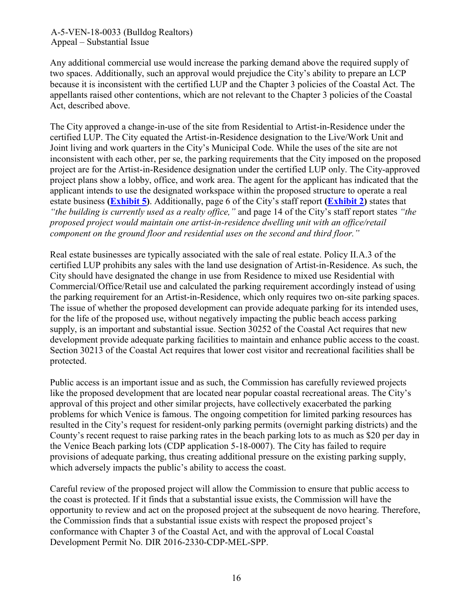Any additional commercial use would increase the parking demand above the required supply of two spaces. Additionally, such an approval would prejudice the City's ability to prepare an LCP because it is inconsistent with the certified LUP and the Chapter 3 policies of the Coastal Act. The appellants raised other contentions, which are not relevant to the Chapter 3 policies of the Coastal Act, described above.

The City approved a change-in-use of the site from Residential to Artist-in-Residence under the certified LUP. The City equated the Artist-in-Residence designation to the Live/Work Unit and Joint living and work quarters in the City's Municipal Code. While the uses of the site are not inconsistent with each other, per se, the parking requirements that the City imposed on the proposed project are for the Artist-in-Residence designation under the certified LUP only. The City-approved project plans show a lobby, office, and work area. The agent for the applicant has indicated that the applicant intends to use the designated workspace within the proposed structure to operate a real estate business **[\(Exhibit 5\)](https://documents.coastal.ca.gov/reports/2017/7/W15b/W15b-7-2017-exhibits.pdf)**. Additionally, page 6 of the City's staff report **[\(Exhibit 2\)](https://documents.coastal.ca.gov/reports/2017/7/W15b/W15b-7-2017-exhibits.pdf)** states that *"the building is currently used as a realty office,"* and page 14 of the City's staff report states *"the proposed project would maintain one artist-in-residence dwelling unit with an office/retail component on the ground floor and residential uses on the second and third floor."* 

Real estate businesses are typically associated with the sale of real estate. Policy II.A.3 of the certified LUP prohibits any sales with the land use designation of Artist-in-Residence. As such, the City should have designated the change in use from Residence to mixed use Residential with Commercial/Office/Retail use and calculated the parking requirement accordingly instead of using the parking requirement for an Artist-in-Residence, which only requires two on-site parking spaces. The issue of whether the proposed development can provide adequate parking for its intended uses, for the life of the proposed use, without negatively impacting the public beach access parking supply, is an important and substantial issue. Section 30252 of the Coastal Act requires that new development provide adequate parking facilities to maintain and enhance public access to the coast. Section 30213 of the Coastal Act requires that lower cost visitor and recreational facilities shall be protected.

Public access is an important issue and as such, the Commission has carefully reviewed projects like the proposed development that are located near popular coastal recreational areas. The City's approval of this project and other similar projects, have collectively exacerbated the parking problems for which Venice is famous. The ongoing competition for limited parking resources has resulted in the City's request for resident-only parking permits (overnight parking districts) and the County's recent request to raise parking rates in the beach parking lots to as much as \$20 per day in the Venice Beach parking lots (CDP application 5-18-0007). The City has failed to require provisions of adequate parking, thus creating additional pressure on the existing parking supply, which adversely impacts the public's ability to access the coast.

Careful review of the proposed project will allow the Commission to ensure that public access to the coast is protected. If it finds that a substantial issue exists, the Commission will have the opportunity to review and act on the proposed project at the subsequent de novo hearing. Therefore, the Commission finds that a substantial issue exists with respect the proposed project's conformance with Chapter 3 of the Coastal Act, and with the approval of Local Coastal Development Permit No. DIR 2016-2330-CDP-MEL-SPP.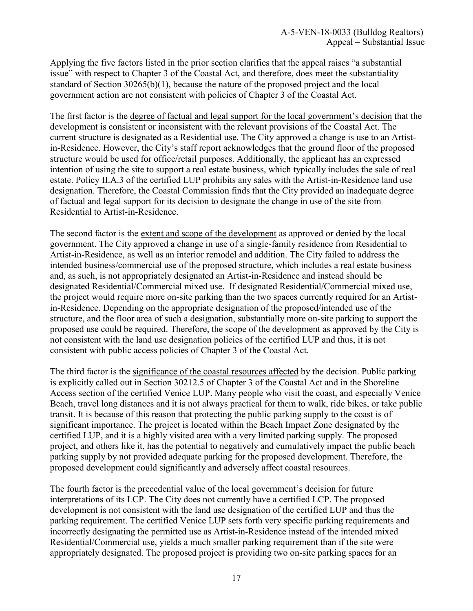Applying the five factors listed in the prior section clarifies that the appeal raises "a substantial issue" with respect to Chapter 3 of the Coastal Act, and therefore, does meet the substantiality standard of Section 30265(b)(1), because the nature of the proposed project and the local government action are not consistent with policies of Chapter 3 of the Coastal Act.

The first factor is the degree of factual and legal support for the local government's decision that the development is consistent or inconsistent with the relevant provisions of the Coastal Act. The current structure is designated as a Residential use. The City approved a change is use to an Artistin-Residence. However, the City's staff report acknowledges that the ground floor of the proposed structure would be used for office/retail purposes. Additionally, the applicant has an expressed intention of using the site to support a real estate business, which typically includes the sale of real estate. Policy II.A.3 of the certified LUP prohibits any sales with the Artist-in-Residence land use designation. Therefore, the Coastal Commission finds that the City provided an inadequate degree of factual and legal support for its decision to designate the change in use of the site from Residential to Artist-in-Residence.

The second factor is the extent and scope of the development as approved or denied by the local government. The City approved a change in use of a single-family residence from Residential to Artist-in-Residence, as well as an interior remodel and addition. The City failed to address the intended business/commercial use of the proposed structure, which includes a real estate business and, as such, is not appropriately designated an Artist-in-Residence and instead should be designated Residential/Commercial mixed use. If designated Residential/Commercial mixed use, the project would require more on-site parking than the two spaces currently required for an Artistin-Residence. Depending on the appropriate designation of the proposed/intended use of the structure, and the floor area of such a designation, substantially more on-site parking to support the proposed use could be required. Therefore, the scope of the development as approved by the City is not consistent with the land use designation policies of the certified LUP and thus, it is not consistent with public access policies of Chapter 3 of the Coastal Act.

The third factor is the significance of the coastal resources affected by the decision. Public parking is explicitly called out in Section 30212.5 of Chapter 3 of the Coastal Act and in the Shoreline Access section of the certified Venice LUP. Many people who visit the coast, and especially Venice Beach, travel long distances and it is not always practical for them to walk, ride bikes, or take public transit. It is because of this reason that protecting the public parking supply to the coast is of significant importance. The project is located within the Beach Impact Zone designated by the certified LUP, and it is a highly visited area with a very limited parking supply. The proposed project, and others like it, has the potential to negatively and cumulatively impact the public beach parking supply by not provided adequate parking for the proposed development. Therefore, the proposed development could significantly and adversely affect coastal resources.

The fourth factor is the precedential value of the local government's decision for future interpretations of its LCP. The City does not currently have a certified LCP. The proposed development is not consistent with the land use designation of the certified LUP and thus the parking requirement. The certified Venice LUP sets forth very specific parking requirements and incorrectly designating the permitted use as Artist-in-Residence instead of the intended mixed Residential/Commercial use, yields a much smaller parking requirement than if the site were appropriately designated. The proposed project is providing two on-site parking spaces for an